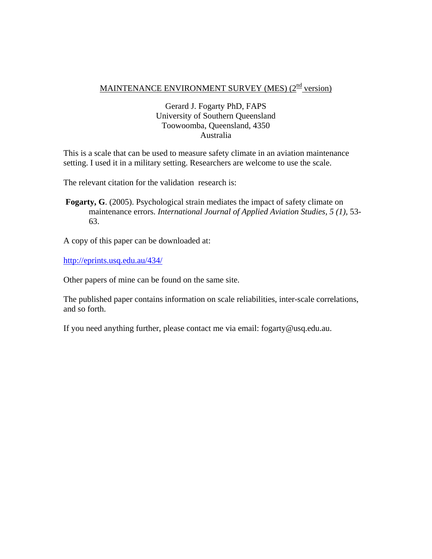# MAINTENANCE ENVIRONMENT SURVEY (MES) (2<sup>nd</sup> version)

# Gerard J. Fogarty PhD, FAPS University of Southern Queensland Toowoomba, Queensland, 4350 Australia

This is a scale that can be used to measure safety climate in an aviation maintenance setting. I used it in a military setting. Researchers are welcome to use the scale.

The relevant citation for the validation research is:

**Fogarty, G**. (2005). Psychological strain mediates the impact of safety climate on maintenance errors. *International Journal of Applied Aviation Studies, 5 (1),* 53- 63.

A copy of this paper can be downloaded at:

http://eprints.usq.edu.au/434/

Other papers of mine can be found on the same site.

The published paper contains information on scale reliabilities, inter-scale correlations, and so forth.

If you need anything further, please contact me via email: fogarty@usq.edu.au.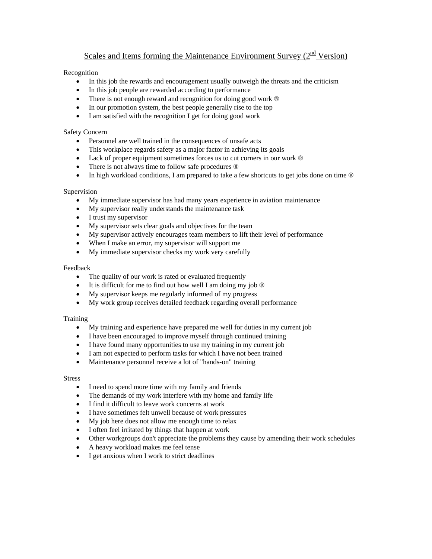# Scales and Items forming the Maintenance Environment Survey  $(2<sup>nd</sup> Version)$

### Recognition

- In this job the rewards and encouragement usually outweigh the threats and the criticism
- In this job people are rewarded according to performance
- There is not enough reward and recognition for doing good work  $\circledR$
- In our promotion system, the best people generally rise to the top
- I am satisfied with the recognition I get for doing good work

#### Safety Concern

- Personnel are well trained in the consequences of unsafe acts
- This workplace regards safety as a major factor in achieving its goals
- Lack of proper equipment sometimes forces us to cut corners in our work  $\circledR$
- There is not always time to follow safe procedures  $\circledR$
- In high workload conditions, I am prepared to take a few shortcuts to get jobs done on time  $\circledR$

#### Supervision

- My immediate supervisor has had many years experience in aviation maintenance
- My supervisor really understands the maintenance task
- I trust my supervisor
- My supervisor sets clear goals and objectives for the team
- My supervisor actively encourages team members to lift their level of performance
- When I make an error, my supervisor will support me
- My immediate supervisor checks my work very carefully

#### Feedback

- The quality of our work is rated or evaluated frequently
- It is difficult for me to find out how well I am doing my job  $\circledR$
- My supervisor keeps me regularly informed of my progress
- My work group receives detailed feedback regarding overall performance

#### Training

- My training and experience have prepared me well for duties in my current job
- I have been encouraged to improve myself through continued training
- I have found many opportunities to use my training in my current job
- I am not expected to perform tasks for which I have not been trained
- Maintenance personnel receive a lot of "hands-on" training

#### **Stress**

- I need to spend more time with my family and friends
- The demands of my work interfere with my home and family life
- I find it difficult to leave work concerns at work
- I have sometimes felt unwell because of work pressures
- My job here does not allow me enough time to relax
- I often feel irritated by things that happen at work
- Other workgroups don't appreciate the problems they cause by amending their work schedules
- A heavy workload makes me feel tense
- I get anxious when I work to strict deadlines